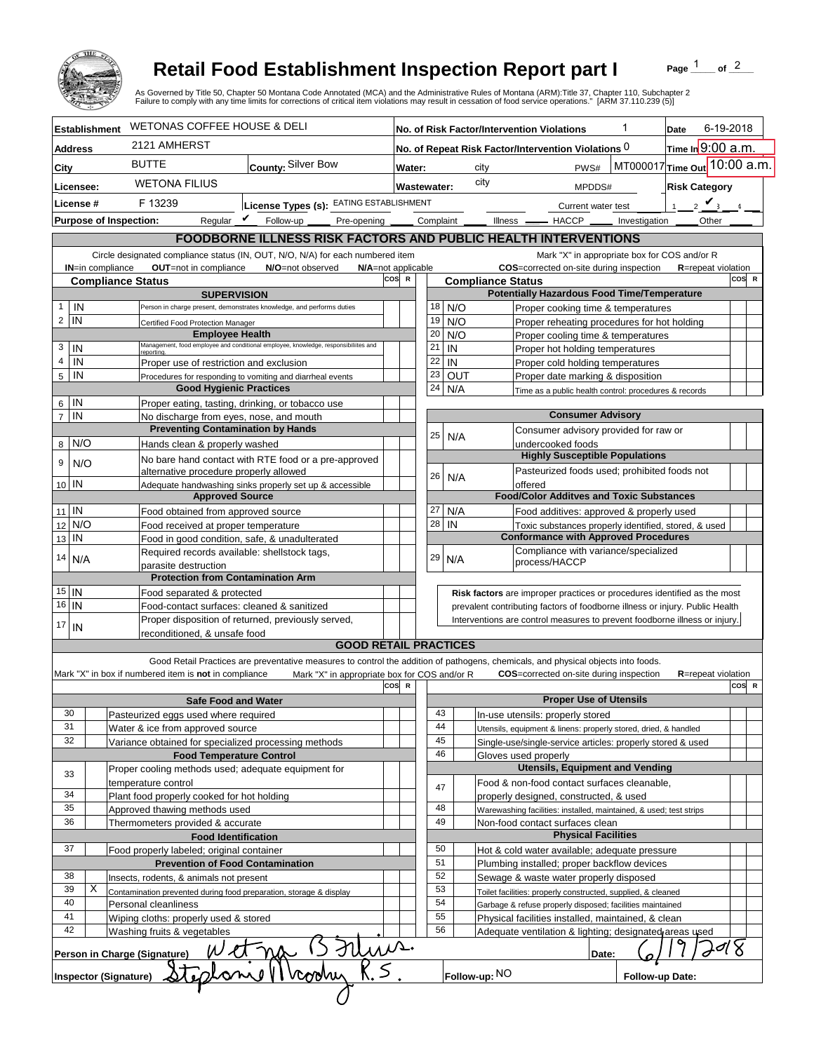

## **Retail Food Establishment Inspection Report part I**

Page  $\frac{1}{1}$  of  $\frac{2}{1}$ 

|                                                                                          |                               |                                                                                                       | <b>Retail Food Establishment Inspection Report part I</b><br>As Governed by Title 50, Chapter 50 Montana Code Annotated (MCA) and the Administrative Rules of Montana (ARM):Title 37, Chapter 110, Subchapter 2<br>Failure to comply with any time limits for corrections of critical item violations may result in cessation of food service operations." [ARM 37.110.239 (5)] |                                                                                             |                                                                                                                                  |                                                                    |               |                                        |                                                                                    |                 | Page              | of $2$                               |       |
|------------------------------------------------------------------------------------------|-------------------------------|-------------------------------------------------------------------------------------------------------|---------------------------------------------------------------------------------------------------------------------------------------------------------------------------------------------------------------------------------------------------------------------------------------------------------------------------------------------------------------------------------|---------------------------------------------------------------------------------------------|----------------------------------------------------------------------------------------------------------------------------------|--------------------------------------------------------------------|---------------|----------------------------------------|------------------------------------------------------------------------------------|-----------------|-------------------|--------------------------------------|-------|
|                                                                                          | <b>Establishment</b>          | <b>WETONAS COFFEE HOUSE &amp; DELI</b>                                                                |                                                                                                                                                                                                                                                                                                                                                                                 | No. of Risk Factor/Intervention Violations                                                  |                                                                                                                                  |                                                                    |               |                                        | 1                                                                                  |                 | 6-19-2018         |                                      |       |
| Address                                                                                  |                               | 2121 AMHERST                                                                                          |                                                                                                                                                                                                                                                                                                                                                                                 |                                                                                             | No. of Repeat Risk Factor/Intervention Violations $0$                                                                            |                                                                    |               |                                        |                                                                                    | Date            | Time In 9:00 a.m. |                                      |       |
|                                                                                          |                               | <b>BUTTE</b>                                                                                          | County: Silver Bow                                                                                                                                                                                                                                                                                                                                                              |                                                                                             |                                                                                                                                  |                                                                    |               | MT000017 Time out 10:00 a.m.<br>city   |                                                                                    |                 |                   |                                      |       |
| City                                                                                     |                               |                                                                                                       |                                                                                                                                                                                                                                                                                                                                                                                 | Water:                                                                                      |                                                                                                                                  |                                                                    |               |                                        | PWS#                                                                               |                 |                   |                                      |       |
| Licensee:                                                                                |                               | <b>WETONA FILIUS</b>                                                                                  |                                                                                                                                                                                                                                                                                                                                                                                 | <b>Wastewater:</b>                                                                          |                                                                                                                                  |                                                                    |               | city<br><b>Risk Category</b><br>MPDDS# |                                                                                    |                 |                   |                                      |       |
| License #                                                                                |                               | F 13239                                                                                               | License Types (s): EATING ESTABLISHMENT                                                                                                                                                                                                                                                                                                                                         |                                                                                             |                                                                                                                                  |                                                                    |               | Current water test                     |                                                                                    |                 | $\mathbf{1}$      | $\frac{1}{2}$ $\mathbf{V}_{\lambda}$ |       |
|                                                                                          | <b>Purpose of Inspection:</b> | Regular $\mathbf{\nu}$                                                                                | Follow-up<br>Pre-opening                                                                                                                                                                                                                                                                                                                                                        |                                                                                             |                                                                                                                                  |                                                                    | Complaint _   |                                        | Illness -<br>$-$ HACCP $\_\_$                                                      | Investigation   |                   | Other                                |       |
|                                                                                          |                               |                                                                                                       | FOODBORNE ILLNESS RISK FACTORS AND PUBLIC HEALTH INTERVENTIONS                                                                                                                                                                                                                                                                                                                  |                                                                                             |                                                                                                                                  |                                                                    |               |                                        |                                                                                    |                 |                   |                                      |       |
|                                                                                          |                               |                                                                                                       | Circle designated compliance status (IN, OUT, N/O, N/A) for each numbered item                                                                                                                                                                                                                                                                                                  |                                                                                             |                                                                                                                                  |                                                                    |               |                                        | Mark "X" in appropriate box for COS and/or R                                       |                 |                   |                                      |       |
|                                                                                          | IN=in compliance              | OUT=not in compliance<br><b>Compliance Status</b>                                                     | N/O=not observed                                                                                                                                                                                                                                                                                                                                                                | cos<br>R                                                                                    | N/A=not applicable<br>COS=corrected on-site during inspection<br><b>R</b> =repeat violation<br>COS R<br><b>Compliance Status</b> |                                                                    |               |                                        |                                                                                    |                 |                   |                                      |       |
|                                                                                          |                               | <b>SUPERVISION</b>                                                                                    |                                                                                                                                                                                                                                                                                                                                                                                 |                                                                                             |                                                                                                                                  |                                                                    |               |                                        | <b>Potentially Hazardous Food Time/Temperature</b>                                 |                 |                   |                                      |       |
| IN<br>$\mathbf{1}$                                                                       |                               |                                                                                                       | Person in charge present, demonstrates knowledge, and performs duties                                                                                                                                                                                                                                                                                                           |                                                                                             | 18                                                                                                                               |                                                                    | N/O           |                                        | Proper cooking time & temperatures                                                 |                 |                   |                                      |       |
| $\overline{2}$<br>IN                                                                     |                               | Certified Food Protection Manager                                                                     |                                                                                                                                                                                                                                                                                                                                                                                 |                                                                                             | 19                                                                                                                               |                                                                    | N/O           |                                        | Proper reheating procedures for hot holding                                        |                 |                   |                                      |       |
|                                                                                          |                               | <b>Employee Health</b>                                                                                | Management, food employee and conditional employee, knowledge, responsibiliites and                                                                                                                                                                                                                                                                                             |                                                                                             | 20                                                                                                                               |                                                                    | N/O           |                                        | Proper cooling time & temperatures                                                 |                 |                   |                                      |       |
| 3<br>IN<br>$\overline{4}$                                                                |                               |                                                                                                       |                                                                                                                                                                                                                                                                                                                                                                                 |                                                                                             | 21<br>22                                                                                                                         |                                                                    | IN<br>IN      |                                        | Proper hot holding temperatures                                                    |                 |                   |                                      |       |
| IN<br>$5\phantom{.0}$<br>IN                                                              |                               | Proper use of restriction and exclusion<br>Procedures for responding to vomiting and diarrheal events |                                                                                                                                                                                                                                                                                                                                                                                 |                                                                                             | 23                                                                                                                               |                                                                    | <b>OUT</b>    |                                        | Proper cold holding temperatures<br>Proper date marking & disposition              |                 |                   |                                      |       |
|                                                                                          |                               | <b>Good Hygienic Practices</b>                                                                        |                                                                                                                                                                                                                                                                                                                                                                                 |                                                                                             | 24                                                                                                                               |                                                                    | N/A           |                                        | Time as a public health control: procedures & records                              |                 |                   |                                      |       |
| $6$   IN                                                                                 |                               |                                                                                                       | Proper eating, tasting, drinking, or tobacco use                                                                                                                                                                                                                                                                                                                                |                                                                                             |                                                                                                                                  |                                                                    |               |                                        |                                                                                    |                 |                   |                                      |       |
| $\overline{7}$<br>IN                                                                     |                               | No discharge from eyes, nose, and mouth                                                               |                                                                                                                                                                                                                                                                                                                                                                                 |                                                                                             |                                                                                                                                  |                                                                    |               |                                        | <b>Consumer Advisory</b>                                                           |                 |                   |                                      |       |
|                                                                                          |                               | <b>Preventing Contamination by Hands</b>                                                              |                                                                                                                                                                                                                                                                                                                                                                                 |                                                                                             | 25                                                                                                                               |                                                                    | N/A           |                                        | Consumer advisory provided for raw or                                              |                 |                   |                                      |       |
| 8 N/O                                                                                    |                               | Hands clean & properly washed                                                                         |                                                                                                                                                                                                                                                                                                                                                                                 |                                                                                             |                                                                                                                                  |                                                                    |               |                                        | undercooked foods<br><b>Highly Susceptible Populations</b>                         |                 |                   |                                      |       |
| 9                                                                                        | N/O                           |                                                                                                       | No bare hand contact with RTE food or a pre-approved                                                                                                                                                                                                                                                                                                                            |                                                                                             |                                                                                                                                  |                                                                    |               |                                        | Pasteurized foods used; prohibited foods not                                       |                 |                   |                                      |       |
| 10 IN                                                                                    |                               | alternative procedure properly allowed                                                                | Adequate handwashing sinks properly set up & accessible                                                                                                                                                                                                                                                                                                                         |                                                                                             | 26                                                                                                                               |                                                                    | N/A           |                                        | offered                                                                            |                 |                   |                                      |       |
|                                                                                          |                               | <b>Approved Source</b>                                                                                |                                                                                                                                                                                                                                                                                                                                                                                 |                                                                                             |                                                                                                                                  |                                                                    |               |                                        | <b>Food/Color Additves and Toxic Substances</b>                                    |                 |                   |                                      |       |
| $11$ IN                                                                                  |                               | Food obtained from approved source                                                                    |                                                                                                                                                                                                                                                                                                                                                                                 |                                                                                             | 27                                                                                                                               |                                                                    | N/A           |                                        | Food additives: approved & properly used                                           |                 |                   |                                      |       |
| 12                                                                                       | N/O                           | Food received at proper temperature                                                                   |                                                                                                                                                                                                                                                                                                                                                                                 |                                                                                             | 28                                                                                                                               |                                                                    | IN            |                                        | Toxic substances properly identified, stored, & used                               |                 |                   |                                      |       |
| IN<br>13                                                                                 |                               |                                                                                                       | Food in good condition, safe, & unadulterated                                                                                                                                                                                                                                                                                                                                   |                                                                                             |                                                                                                                                  |                                                                    |               |                                        | <b>Conformance with Approved Procedures</b>                                        |                 |                   |                                      |       |
| 14<br>N/A                                                                                |                               | parasite destruction                                                                                  | Required records available: shellstock tags,                                                                                                                                                                                                                                                                                                                                    |                                                                                             |                                                                                                                                  | 29                                                                 | N/A           |                                        | Compliance with variance/specialized<br>process/HACCP                              |                 |                   |                                      |       |
|                                                                                          |                               | <b>Protection from Contamination Arm</b>                                                              |                                                                                                                                                                                                                                                                                                                                                                                 |                                                                                             |                                                                                                                                  |                                                                    |               |                                        |                                                                                    |                 |                   |                                      |       |
| $15$  IN                                                                                 |                               | Food separated & protected                                                                            |                                                                                                                                                                                                                                                                                                                                                                                 |                                                                                             |                                                                                                                                  |                                                                    |               |                                        | Risk factors are improper practices or procedures identified as the most           |                 |                   |                                      |       |
| 16 IN                                                                                    |                               | Food-contact surfaces: cleaned & sanitized                                                            |                                                                                                                                                                                                                                                                                                                                                                                 |                                                                                             | prevalent contributing factors of foodborne illness or injury. Public Health                                                     |                                                                    |               |                                        |                                                                                    |                 |                   |                                      |       |
| 17<br>IN                                                                                 |                               |                                                                                                       | Proper disposition of returned, previously served,                                                                                                                                                                                                                                                                                                                              |                                                                                             |                                                                                                                                  |                                                                    |               |                                        | Interventions are control measures to prevent foodborne illness or injury.         |                 |                   |                                      |       |
|                                                                                          |                               | reconditioned, & unsafe food                                                                          | <b>GOOD RETAIL PRACTICES</b>                                                                                                                                                                                                                                                                                                                                                    |                                                                                             |                                                                                                                                  |                                                                    |               |                                        |                                                                                    |                 |                   |                                      |       |
|                                                                                          |                               |                                                                                                       |                                                                                                                                                                                                                                                                                                                                                                                 |                                                                                             |                                                                                                                                  |                                                                    |               |                                        |                                                                                    |                 |                   |                                      |       |
|                                                                                          |                               | Mark "X" in box if numbered item is not in compliance                                                 | Good Retail Practices are preventative measures to control the addition of pathogens, chemicals, and physical objects into foods.<br>Mark "X" in appropriate box for COS and/or R                                                                                                                                                                                               |                                                                                             |                                                                                                                                  |                                                                    |               |                                        | <b>COS</b> =corrected on-site during inspection                                    |                 |                   | <b>R</b> =repeat violation           |       |
|                                                                                          |                               |                                                                                                       |                                                                                                                                                                                                                                                                                                                                                                                 | COS R                                                                                       |                                                                                                                                  |                                                                    |               |                                        |                                                                                    |                 |                   |                                      | COS R |
|                                                                                          |                               | <b>Safe Food and Water</b>                                                                            |                                                                                                                                                                                                                                                                                                                                                                                 |                                                                                             |                                                                                                                                  |                                                                    |               |                                        | <b>Proper Use of Utensils</b>                                                      |                 |                   |                                      |       |
| 30                                                                                       |                               | Pasteurized eggs used where required                                                                  |                                                                                                                                                                                                                                                                                                                                                                                 |                                                                                             |                                                                                                                                  | 43                                                                 |               |                                        | In-use utensils: properly stored                                                   |                 |                   |                                      |       |
| 31<br>32                                                                                 |                               | Water & ice from approved source                                                                      |                                                                                                                                                                                                                                                                                                                                                                                 |                                                                                             |                                                                                                                                  | 44<br>45                                                           |               |                                        | Utensils, equipment & linens: properly stored, dried, & handled                    |                 |                   |                                      |       |
|                                                                                          |                               | Variance obtained for specialized processing methods<br><b>Food Temperature Control</b>               |                                                                                                                                                                                                                                                                                                                                                                                 |                                                                                             |                                                                                                                                  | 46                                                                 |               |                                        | Single-use/single-service articles: properly stored & used<br>Gloves used properly |                 |                   |                                      |       |
|                                                                                          |                               | Proper cooling methods used; adequate equipment for                                                   |                                                                                                                                                                                                                                                                                                                                                                                 |                                                                                             |                                                                                                                                  |                                                                    |               |                                        | <b>Utensils, Equipment and Vending</b>                                             |                 |                   |                                      |       |
| 33                                                                                       |                               | temperature control                                                                                   |                                                                                                                                                                                                                                                                                                                                                                                 |                                                                                             |                                                                                                                                  |                                                                    |               |                                        | Food & non-food contact surfaces cleanable,                                        |                 |                   |                                      |       |
| 34                                                                                       |                               | Plant food properly cooked for hot holding                                                            |                                                                                                                                                                                                                                                                                                                                                                                 |                                                                                             |                                                                                                                                  | 47                                                                 |               |                                        | properly designed, constructed, & used                                             |                 |                   |                                      |       |
| 35                                                                                       |                               | Approved thawing methods used                                                                         |                                                                                                                                                                                                                                                                                                                                                                                 |                                                                                             |                                                                                                                                  | 48                                                                 |               |                                        | Warewashing facilities: installed, maintained, & used; test strips                 |                 |                   |                                      |       |
| 36                                                                                       |                               |                                                                                                       | Thermometers provided & accurate                                                                                                                                                                                                                                                                                                                                                |                                                                                             |                                                                                                                                  | 49                                                                 |               |                                        | Non-food contact surfaces clean                                                    |                 |                   |                                      |       |
| <b>Food Identification</b>                                                               |                               |                                                                                                       |                                                                                                                                                                                                                                                                                                                                                                                 |                                                                                             |                                                                                                                                  | 50                                                                 |               |                                        | <b>Physical Facilities</b>                                                         |                 |                   |                                      |       |
| 37                                                                                       |                               | Food properly labeled; original container                                                             |                                                                                                                                                                                                                                                                                                                                                                                 |                                                                                             |                                                                                                                                  | 51                                                                 |               |                                        | Hot & cold water available; adequate pressure                                      |                 |                   |                                      |       |
| <b>Prevention of Food Contamination</b><br>38<br>Insects, rodents, & animals not present |                               |                                                                                                       |                                                                                                                                                                                                                                                                                                                                                                                 | Plumbing installed; proper backflow devices<br>52<br>Sewage & waste water properly disposed |                                                                                                                                  |                                                                    |               |                                        |                                                                                    |                 |                   |                                      |       |
| 39                                                                                       | Х                             | Contamination prevented during food preparation, storage & display                                    |                                                                                                                                                                                                                                                                                                                                                                                 |                                                                                             |                                                                                                                                  | 53<br>Toilet facilities: properly constructed, supplied, & cleaned |               |                                        |                                                                                    |                 |                   |                                      |       |
| 40                                                                                       |                               | Personal cleanliness                                                                                  |                                                                                                                                                                                                                                                                                                                                                                                 |                                                                                             |                                                                                                                                  | 54                                                                 |               |                                        | Garbage & refuse properly disposed; facilities maintained                          |                 |                   |                                      |       |
| 41                                                                                       |                               | Wiping cloths: properly used & stored                                                                 |                                                                                                                                                                                                                                                                                                                                                                                 |                                                                                             |                                                                                                                                  | 55                                                                 |               |                                        | Physical facilities installed, maintained, & clean                                 |                 |                   |                                      |       |
| 42                                                                                       |                               | Washing fruits & vegetables                                                                           |                                                                                                                                                                                                                                                                                                                                                                                 |                                                                                             |                                                                                                                                  | 56                                                                 |               |                                        | Adequate ventilation & lighting; designated areas used                             |                 |                   |                                      |       |
|                                                                                          |                               | Person in Charge (Signature)                                                                          | Mun.                                                                                                                                                                                                                                                                                                                                                                            |                                                                                             |                                                                                                                                  |                                                                    |               |                                        | Date:                                                                              |                 |                   |                                      |       |
|                                                                                          |                               |                                                                                                       |                                                                                                                                                                                                                                                                                                                                                                                 |                                                                                             |                                                                                                                                  |                                                                    |               |                                        |                                                                                    |                 |                   |                                      |       |
|                                                                                          | Inspector (Signature)         |                                                                                                       |                                                                                                                                                                                                                                                                                                                                                                                 |                                                                                             |                                                                                                                                  |                                                                    | Follow-up: NO |                                        |                                                                                    | Follow-up Date: |                   |                                      |       |
|                                                                                          |                               |                                                                                                       |                                                                                                                                                                                                                                                                                                                                                                                 |                                                                                             |                                                                                                                                  |                                                                    |               |                                        |                                                                                    |                 |                   |                                      |       |